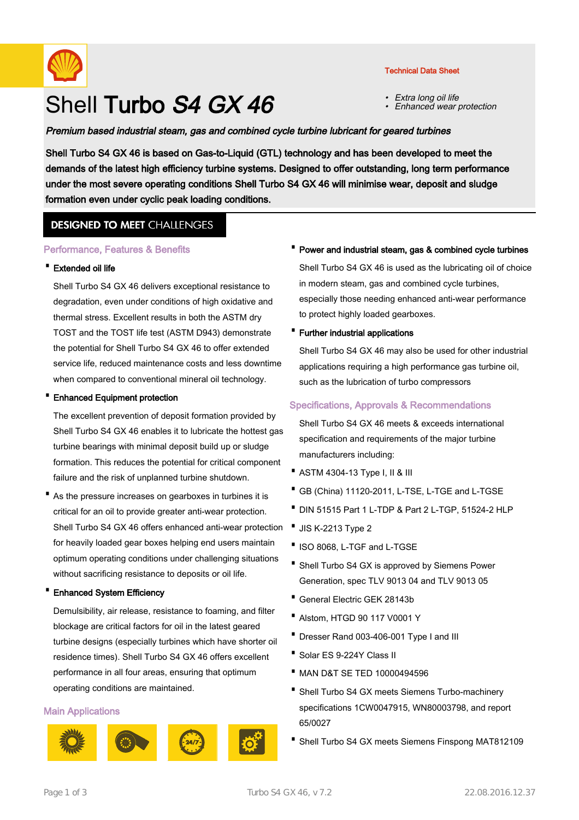

# Shell Turbo S4 GX 46

#### Technical Data Sheet

- •Extra long oil life
- •Enhanced wear protection

## Premium based industrial steam, gas and combined cycle turbine lubricant for geared turbines

Shell Turbo S4 GX 46 is based on Gas-to-Liquid (GTL) technology and has been developed to meet the demands of the latest high efficiency turbine systems. Designed to offer outstanding, long term performance under the most severe operating conditions Shell Turbo S4 GX 46 will minimise wear, deposit and sludge formation even under cyclic peak loading conditions.

## **DESIGNED TO MEET CHALLENGES**

#### Performance, Features & Benefits

#### · Extended oil life

Shell Turbo S4 GX 46 delivers exceptional resistance to degradation, even under conditions of high oxidative and thermal stress. Excellent results in both the ASTM dry TOST and the TOST life test (ASTM D943) demonstrate the potential for Shell Turbo S4 GX 46 to offer extended service life, reduced maintenance costs and less downtime when compared to conventional mineral oil technology.

#### · Enhanced Equipment protection

The excellent prevention of deposit formation provided by Shell Turbo S4 GX 46 enables it to lubricate the hottest gas turbine bearings with minimal deposit build up or sludge formation. This reduces the potential for critical component failure and the risk of unplanned turbine shutdown.

• As the pressure increases on gearboxes in turbines it is critical for an oil to provide greater anti-wear protection. Shell Turbo S4 GX 46 offers enhanced anti-wear protection for heavily loaded gear boxes helping end users maintain optimum operating conditions under challenging situations without sacrificing resistance to deposits or oil life.

#### **Enhanced System Efficiency**

Demulsibility, air release, resistance to foaming, and filter blockage are critical factors for oil in the latest geared turbine designs (especially turbines which have shorter oil residence times). Shell Turbo S4 GX 46 offers excellent performance in all four areas, ensuring that optimum operating conditions are maintained.

#### Main Applications









## · Power and industrial steam, gas & combined cycle turbines

Shell Turbo S4 GX 46 is used as the lubricating oil of choice in modern steam, gas and combined cycle turbines, especially those needing enhanced anti-wear performance to protect highly loaded gearboxes.

· Further industrial applications

Shell Turbo S4 GX 46 may also be used for other industrial applications requiring a high performance gas turbine oil, such as the lubrication of turbo compressors

## Specifications, Approvals & Recommendations

Shell Turbo S4 GX 46 meets & exceeds international specification and requirements of the major turbine manufacturers including:

- · ASTM 4304-13 Type I, II & III
- · GB (China) 11120-2011, L-TSE, L-TGE and L-TGSE
- · DIN 51515 Part 1 L-TDP & Part 2 L-TGP, 51524-2 HLP
- · JIS K-2213 Type 2
- ·ISO 8068, L-TGF and L-TGSE
- Shell Turbo S4 GX is approved by Siemens Power Generation, spec TLV 9013 04 and TLV 9013 05
- · General Electric GEK 28143b
- · Alstom, HTGD 90 117 V0001 Y
- · Dresser Rand 003-406-001 Type I and III
- · Solar ES 9-224Y Class II
- · MAN D&T SE TED 10000494596
- Shell Turbo S4 GX meets Siemens Turbo-machinery specifications 1CW0047915, WN80003798, and report 65/0027
- · Shell Turbo S4 GX meets Siemens Finspong MAT812109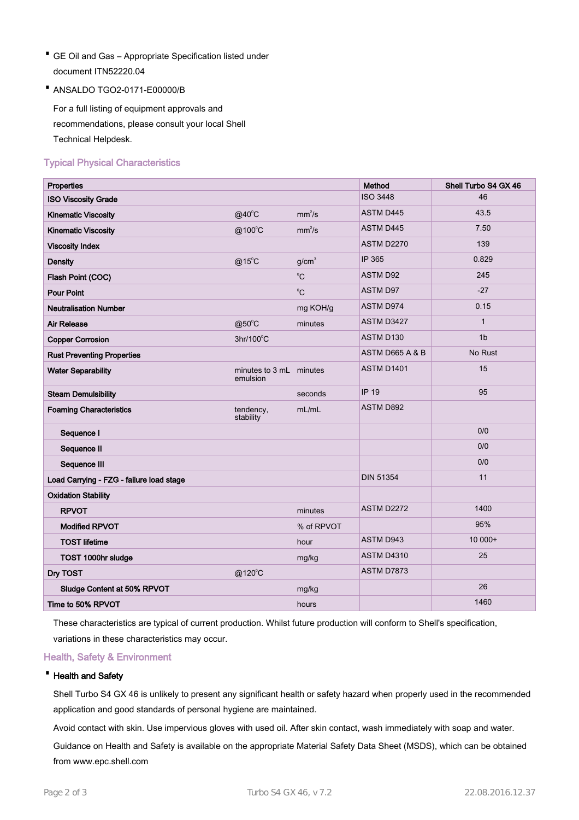- GE Oil and Gas Appropriate Specification listed under · document ITN52220.04
- · ANSALDO TGO2-0171-E00000/B

For a full listing of equipment approvals and recommendations, please consult your local Shell Technical Helpdesk.

## Typical Physical Characteristics

| Properties                               |                                     |                    | Method            | Shell Turbo S4 GX 46 |
|------------------------------------------|-------------------------------------|--------------------|-------------------|----------------------|
| <b>ISO Viscosity Grade</b>               |                                     |                    | <b>ISO 3448</b>   | 46                   |
| <b>Kinematic Viscosity</b>               | @40°C                               | mm <sup>2</sup> /s | <b>ASTM D445</b>  | 43.5                 |
| <b>Kinematic Viscosity</b>               | @100°C                              | mm <sup>2</sup> /s | <b>ASTM D445</b>  | 7.50                 |
| <b>Viscosity Index</b>                   |                                     |                    | <b>ASTM D2270</b> | 139                  |
| <b>Density</b>                           | $@15^{\circ}$ C                     | q/cm <sup>3</sup>  | IP 365            | 0.829                |
| Flash Point (COC)                        |                                     | $^{\circ}$ C       | <b>ASTM D92</b>   | 245                  |
| <b>Pour Point</b>                        |                                     | $^0C$              | ASTM D97          | $-27$                |
| <b>Neutralisation Number</b>             |                                     | mg KOH/g           | <b>ASTM D974</b>  | 0.15                 |
| <b>Air Release</b>                       | $@50^{\circ}$ C                     | minutes            | ASTM D3427        | $\mathbf{1}$         |
| <b>Copper Corrosion</b>                  | 3hr/100°C                           |                    | ASTM D130         | 1 <sub>b</sub>       |
| <b>Rust Preventing Properties</b>        |                                     |                    | ASTM D665 A & B   | No Rust              |
| <b>Water Separability</b>                | minutes to 3 mL minutes<br>emulsion |                    | <b>ASTM D1401</b> | 15                   |
| <b>Steam Demulsibility</b>               |                                     | seconds            | <b>IP 19</b>      | 95                   |
| <b>Foaming Characteristics</b>           | tendency,<br>stability              | mL/mL              | ASTM D892         |                      |
| Sequence I                               |                                     |                    |                   | 0/0                  |
| Sequence II                              |                                     |                    |                   | 0/0                  |
| Sequence III                             |                                     |                    |                   | 0/0                  |
| Load Carrying - FZG - failure load stage |                                     |                    | <b>DIN 51354</b>  | 11                   |
| <b>Oxidation Stability</b>               |                                     |                    |                   |                      |
| <b>RPVOT</b>                             |                                     | minutes            | ASTM D2272        | 1400                 |
| <b>Modified RPVOT</b>                    |                                     | % of RPVOT         |                   | 95%                  |
| <b>TOST lifetime</b>                     |                                     | hour               | ASTM D943         | 10 000+              |
| TOST 1000hr sludge                       |                                     | mg/kg              | <b>ASTM D4310</b> | 25                   |
| Dry TOST                                 | $@120^{\circ}$ C                    |                    | <b>ASTM D7873</b> |                      |
| Sludge Content at 50% RPVOT              |                                     | mg/kg              |                   | 26                   |
| Time to 50% RPVOT                        |                                     | hours              |                   | 1460                 |

These characteristics are typical of current production. Whilst future production will conform to Shell's specification, variations in these characteristics may occur.

## Health, Safety & Environment

#### · Health and Safety

Shell Turbo S4 GX 46 is unlikely to present any significant health or safety hazard when properly used in the recommended application and good standards of personal hygiene are maintained.

Avoid contact with skin. Use impervious gloves with used oil. After skin contact, wash immediately with soap and water.

Guidance on Health and Safety is available on the appropriate Material Safety Data Sheet (MSDS), which can be obtained from www.epc.shell.com